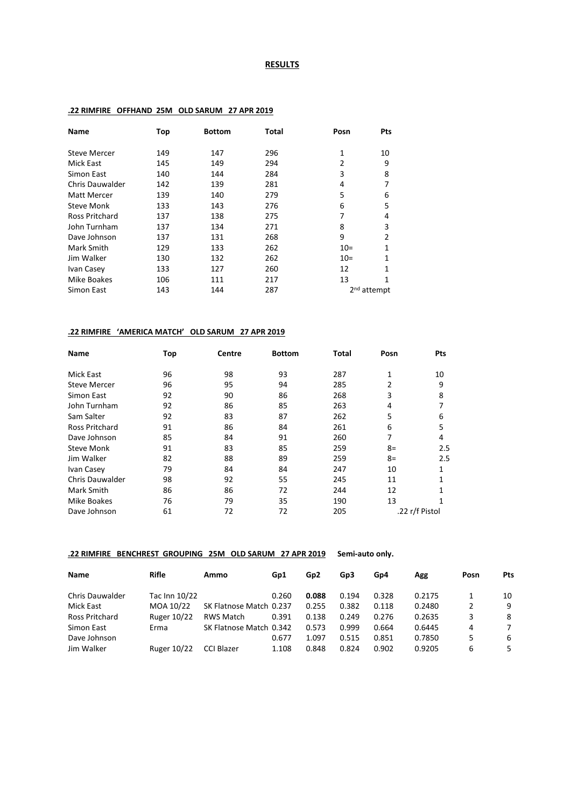## **RESULTS**

| Top<br>149 | <b>Bottom</b> | Total                                                       | Posn                                                                                           | <b>Pts</b>                                     |
|------------|---------------|-------------------------------------------------------------|------------------------------------------------------------------------------------------------|------------------------------------------------|
|            |               |                                                             |                                                                                                |                                                |
|            |               |                                                             |                                                                                                | 10                                             |
|            |               |                                                             | 2                                                                                              | 9                                              |
| 140        | 144           |                                                             | 3                                                                                              | 8                                              |
| 142        |               |                                                             | 4                                                                                              |                                                |
| 139        |               |                                                             | 5                                                                                              | 6                                              |
| 133        |               |                                                             | 6                                                                                              | 5                                              |
| 137        |               |                                                             | 7                                                                                              | 4                                              |
| 137        |               |                                                             | 8                                                                                              | 3                                              |
| 137        |               |                                                             | 9                                                                                              | 2                                              |
| 129        |               |                                                             | $10=$                                                                                          | 1                                              |
| 130        |               |                                                             | $10=$                                                                                          | 1                                              |
| 133        | 127           |                                                             | 12                                                                                             | 1                                              |
| 106        | 111           |                                                             | 13                                                                                             | 1                                              |
| 143        | 144           |                                                             |                                                                                                |                                                |
|            | 145           | 149<br>139<br>140<br>143<br>138<br>134<br>131<br>133<br>132 | 147<br>294<br>284<br>281<br>279<br>276<br>275<br>271<br>268<br>262<br>262<br>260<br>217<br>287 | 296<br>$\mathbf{1}$<br>2 <sup>nd</sup> attempt |

#### **.22 RIMFIRE OFFHAND 25M OLD SARUM 27 APR 2019**

### **.22 RIMFIRE 'AMERICA MATCH' OLD SARUM 27 APR 2019**

| <b>Name</b>            | Top | Centre | <b>Bottom</b> | Total | Posn | Pts            |
|------------------------|-----|--------|---------------|-------|------|----------------|
| Mick East              | 96  | 98     | 93            | 287   | 1    | 10             |
| <b>Steve Mercer</b>    | 96  | 95     | 94            | 285   | 2    | 9              |
| Simon East             | 92  | 90     | 86            | 268   | 3    | 8              |
| John Turnham           | 92  | 86     | 85            | 263   | 4    |                |
| Sam Salter             | 92  | 83     | 87            | 262   | 5    | 6              |
| <b>Ross Pritchard</b>  | 91  | 86     | 84            | 261   | 6    | 5              |
| Dave Johnson           | 85  | 84     | 91            | 260   | 7    | 4              |
| <b>Steve Monk</b>      | 91  | 83     | 85            | 259   | $8=$ | 2.5            |
| Jim Walker             | 82  | 88     | 89            | 259   | $8=$ | 2.5            |
| Ivan Casey             | 79  | 84     | 84            | 247   | 10   | 1              |
| <b>Chris Dauwalder</b> | 98  | 92     | 55            | 245   | 11   |                |
| Mark Smith             | 86  | 86     | 72            | 244   | 12   |                |
| Mike Boakes            | 76  | 79     | 35            | 190   | 13   |                |
| Dave Johnson           | 61  | 72     | 72            | 205   |      | .22 r/f Pistol |

# **.22 RIMFIRE BENCHREST GROUPING 25M OLD SARUM 27 APR 2019 Semi-auto only.**

| <b>Name</b>            | <b>Rifle</b>       | Ammo                    | Gp1   | Gp <sub>2</sub> | Gp3   | Gp4   | Agg    | Posn | Pts |
|------------------------|--------------------|-------------------------|-------|-----------------|-------|-------|--------|------|-----|
| <b>Chris Dauwalder</b> | Tac Inn 10/22      |                         | 0.260 | 0.088           | 0.194 | 0.328 | 0.2175 |      | 10  |
| Mick East              | MOA 10/22          | SK Flatnose Match 0.237 |       | 0.255           | 0.382 | 0.118 | 0.2480 | 2    | 9   |
| Ross Pritchard         | Ruger 10/22        | RWS Match               | 0.391 | 0.138           | 0.249 | 0.276 | 0.2635 | 3    | -8  |
| Simon East             | Erma               | SK Flatnose Match 0.342 |       | 0.573           | 0.999 | 0.664 | 0.6445 | 4    | 7   |
| Dave Johnson           |                    |                         | 0.677 | 1.097           | 0.515 | 0.851 | 0.7850 | 5    | -6  |
| Jim Walker             | <b>Ruger 10/22</b> | <b>CCI Blazer</b>       | 1.108 | 0.848           | 0.824 | 0.902 | 0.9205 | 6    | 5.  |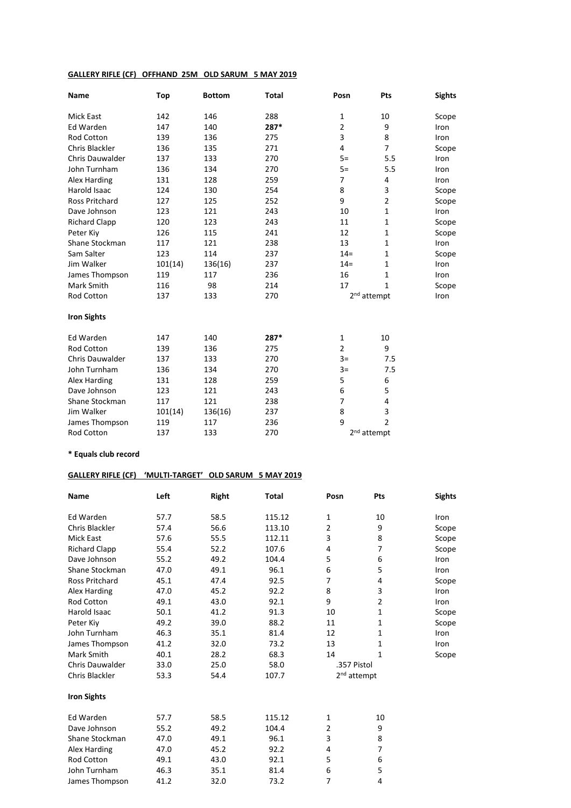# **GALLERY RIFLE (CF) OFFHAND 25M OLD SARUM 5 MAY 2019**

| Name                   | Top     | <b>Bottom</b> | <b>Total</b> | Posn           | Pts                     | <b>Sights</b> |
|------------------------|---------|---------------|--------------|----------------|-------------------------|---------------|
| <b>Mick East</b>       | 142     | 146           | 288          | $\mathbf{1}$   | 10                      | Scope         |
| Ed Warden              | 147     | 140           | 287*         | $\overline{2}$ | 9                       | Iron          |
| Rod Cotton             | 139     | 136           | 275          | 3              | 8                       | Iron          |
| Chris Blackler         | 136     | 135           | 271          | 4              | $\overline{7}$          | Scope         |
| Chris Dauwalder        | 137     | 133           | 270          | $5=$           | 5.5                     | Iron          |
| John Turnham           | 136     | 134           | 270          | $5=$           | 5.5                     | Iron          |
| Alex Harding           | 131     | 128           | 259          | $\overline{7}$ | 4                       | Iron          |
| Harold Isaac           | 124     | 130           | 254          | 8              | 3                       | Scope         |
| <b>Ross Pritchard</b>  | 127     | 125           | 252          | 9              | $\overline{2}$          | Scope         |
| Dave Johnson           | 123     | 121           | 243          | 10             | $\mathbf{1}$            | Iron          |
| <b>Richard Clapp</b>   | 120     | 123           | 243          | 11             | 1                       | Scope         |
| Peter Kiy              | 126     | 115           | 241          | 12             | $\mathbf{1}$            | Scope         |
| Shane Stockman         | 117     | 121           | 238          | 13             | $\mathbf{1}$            | Iron          |
| Sam Salter             | 123     | 114           | 237          | $14 =$         | $\mathbf{1}$            | Scope         |
| Jim Walker             | 101(14) | 136(16)       | 237          | $14 =$         | $\mathbf{1}$            | Iron          |
| James Thompson         | 119     | 117           | 236          | 16             | 1                       | Iron          |
| Mark Smith             | 116     | 98            | 214          | 17             | $\mathbf{1}$            | Scope         |
| Rod Cotton             | 137     | 133           | 270          |                | 2 <sup>nd</sup> attempt | Iron          |
| <b>Iron Sights</b>     |         |               |              |                |                         |               |
| <b>Ed Warden</b>       | 147     | 140           | 287*         | $\mathbf{1}$   | 10                      |               |
| Rod Cotton             | 139     | 136           | 275          | $\overline{2}$ | 9                       |               |
| <b>Chris Dauwalder</b> | 137     | 133           | 270          | $3=$           | 7.5                     |               |
| John Turnham           | 136     | 134           | 270          | $3=$           | 7.5                     |               |
| Alex Harding           | 131     | 128           | 259          | 5              | 6                       |               |
| Dave Johnson           | 123     | 121           | 243          | 6              | 5                       |               |
| Shane Stockman         | 117     | 121           | 238          | $\overline{7}$ | $\overline{4}$          |               |
| Jim Walker             | 101(14) | 136(16)       | 237          | 8              | 3                       |               |
| James Thompson         | 119     | 117           | 236          | 9              | $\overline{2}$          |               |
| Rod Cotton             | 137     | 133           | 270          |                | 2 <sup>nd</sup> attempt |               |

# **\* Equals club record**

# **GALLERY RIFLE (CF) 'MULTI-TARGET' OLD SARUM 5 MAY 2019**

| <b>Name</b>            | Left | <b>Right</b> | Total  | Posn        | Pts                     | <b>Sights</b> |
|------------------------|------|--------------|--------|-------------|-------------------------|---------------|
| Ed Warden              | 57.7 | 58.5         | 115.12 | 1           | 10                      | Iron          |
| Chris Blackler         | 57.4 | 56.6         | 113.10 | 2           | 9                       | Scope         |
| <b>Mick East</b>       | 57.6 | 55.5         | 112.11 | 3           | 8                       | Scope         |
| <b>Richard Clapp</b>   | 55.4 | 52.2         | 107.6  | 4           | 7                       | Scope         |
| Dave Johnson           | 55.2 | 49.2         | 104.4  | 5           | 6                       | Iron          |
| Shane Stockman         | 47.0 | 49.1         | 96.1   | 6           | 5                       | Iron          |
| <b>Ross Pritchard</b>  | 45.1 | 47.4         | 92.5   | 7           | 4                       | Scope         |
| Alex Harding           | 47.0 | 45.2         | 92.2   | 8           | 3                       | Iron          |
| <b>Rod Cotton</b>      | 49.1 | 43.0         | 92.1   | 9           | $\overline{2}$          | Iron          |
| Harold Isaac           | 50.1 | 41.2         | 91.3   | 10          | $\mathbf{1}$            | Scope         |
| Peter Kiv              | 49.2 | 39.0         | 88.2   | 11          | 1                       | Scope         |
| John Turnham           | 46.3 | 35.1         | 81.4   | 12          | 1                       | Iron          |
| James Thompson         | 41.2 | 32.0         | 73.2   | 13          | 1                       | Iron          |
| Mark Smith             | 40.1 | 28.2         | 68.3   | 14          | 1                       | Scope         |
| <b>Chris Dauwalder</b> | 33.0 | 25.0         | 58.0   | .357 Pistol |                         |               |
| Chris Blackler         | 53.3 | 54.4         | 107.7  |             | 2 <sup>nd</sup> attempt |               |
| <b>Iron Sights</b>     |      |              |        |             |                         |               |
| Ed Warden              | 57.7 | 58.5         | 115.12 | 1           | 10                      |               |
| Dave Johnson           | 55.2 | 49.2         | 104.4  | 2           | 9                       |               |
| Shane Stockman         | 47.0 | 49.1         | 96.1   | 3           | 8                       |               |
| Alex Harding           | 47.0 | 45.2         | 92.2   | 4           | 7                       |               |
| <b>Rod Cotton</b>      | 49.1 | 43.0         | 92.1   | 5           | 6                       |               |
| John Turnham           | 46.3 | 35.1         | 81.4   | 6           | 5                       |               |
| James Thompson         | 41.2 | 32.0         | 73.2   | 7           | 4                       |               |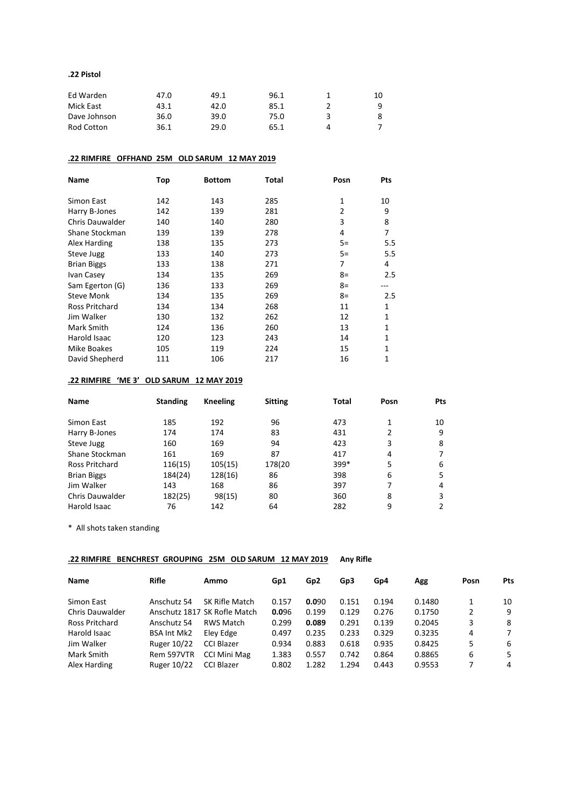#### **.22 Pistol**

| Ed Warden    | 47.0 | 49.1 | 96.1 |           | 10 |
|--------------|------|------|------|-----------|----|
| Mick East    | 43.1 | 42.0 | 85.1 |           | a  |
| Dave Johnson | 36.0 | 39.0 | 75.0 |           |    |
| Rod Cotton   | 36.1 | 29.0 | 65.1 | $\Lambda$ |    |

### **.22 RIMFIRE OFFHAND 25M OLD SARUM 12 MAY 2019**

| <b>Name</b>            | Top | <b>Bottom</b> | Total | Posn           | Pts |
|------------------------|-----|---------------|-------|----------------|-----|
| Simon East             | 142 | 143           | 285   | 1              | 10  |
| Harry B-Jones          | 142 | 139           | 281   | $\overline{2}$ | 9   |
| <b>Chris Dauwalder</b> | 140 | 140           | 280   | 3              | 8   |
| Shane Stockman         | 139 | 139           | 278   | 4              | 7   |
| Alex Harding           | 138 | 135           | 273   | $5=$           | 5.5 |
| Steve Jugg             | 133 | 140           | 273   | $5=$           | 5.5 |
| <b>Brian Biggs</b>     | 133 | 138           | 271   | 7              | 4   |
| Ivan Casey             | 134 | 135           | 269   | $8=$           | 2.5 |
| Sam Egerton (G)        | 136 | 133           | 269   | $8=$           |     |
| <b>Steve Monk</b>      | 134 | 135           | 269   | $8=$           | 2.5 |
| <b>Ross Pritchard</b>  | 134 | 134           | 268   | 11             | 1   |
| Jim Walker             | 130 | 132           | 262   | 12             | 1   |
| Mark Smith             | 124 | 136           | 260   | 13             | 1   |
| Harold Isaac           | 120 | 123           | 243   | 14             | 1   |
| Mike Boakes            | 105 | 119           | 224   | 15             | 1   |
| David Shepherd         | 111 | 106           | 217   | 16             | 1   |

#### **.22 RIMFIRE 'ME 3' OLD SARUM 12 MAY 2019**

| <b>Name</b>            | <b>Standing</b> | Kneeling | <b>Sitting</b> | <b>Total</b> | Posn | Pts |
|------------------------|-----------------|----------|----------------|--------------|------|-----|
| Simon East             | 185             | 192      | 96             | 473          |      | 10  |
| Harry B-Jones          | 174             | 174      | 83             | 431          | 2    | 9   |
| Steve Jugg             | 160             | 169      | 94             | 423          | 3    | 8   |
| Shane Stockman         | 161             | 169      | 87             | 417          | 4    |     |
| Ross Pritchard         | 116(15)         | 105(15)  | 178(20         | $399*$       | 5    | 6   |
| <b>Brian Biggs</b>     | 184(24)         | 128(16)  | 86             | 398          | 6    | 5   |
| Jim Walker             | 143             | 168      | 86             | 397          | 7    | 4   |
| <b>Chris Dauwalder</b> | 182(25)         | 98(15)   | 80             | 360          | 8    | 3   |
| Harold Isaac           | 76              | 142      | 64             | 282          | 9    | 2   |

\* All shots taken standing

### **.22 RIMFIRE BENCHREST GROUPING 25M OLD SARUM 12 MAY 2019 Any Rifle**

| <b>Name</b>            | Rifle              | Ammo                         | Gp1   | Gp <sub>2</sub> | Gp3   | Gp4   | Agg    | Posn | Pts |
|------------------------|--------------------|------------------------------|-------|-----------------|-------|-------|--------|------|-----|
| Simon East             | Anschutz 54        | SK Rifle Match               | 0.157 | 0.090           | 0.151 | 0.194 | 0.1480 |      | 10  |
| <b>Chris Dauwalder</b> |                    | Anschutz 1817 SK Rofle Match | 0.096 | 0.199           | 0.129 | 0.276 | 0.1750 | 2    | 9   |
| Ross Pritchard         | Anschutz 54        | RWS Match                    | 0.299 | 0.089           | 0.291 | 0.139 | 0.2045 | 3    | -8  |
| Harold Isaac           | <b>BSA Int Mk2</b> | Eley Edge                    | 0.497 | 0.235           | 0.233 | 0.329 | 0.3235 | 4    | 7   |
| Jim Walker             | Ruger 10/22        | CCI Blazer                   | 0.934 | 0.883           | 0.618 | 0.935 | 0.8425 | 5    | -6  |
| Mark Smith             | Rem 597VTR         | CCI Mini Mag                 | 1.383 | 0.557           | 0.742 | 0.864 | 0.8865 | 6    | 5   |
| Alex Harding           | <b>Ruger 10/22</b> | <b>CCI Blazer</b>            | 0.802 | 1.282           | 1.294 | 0.443 | 0.9553 |      | 4   |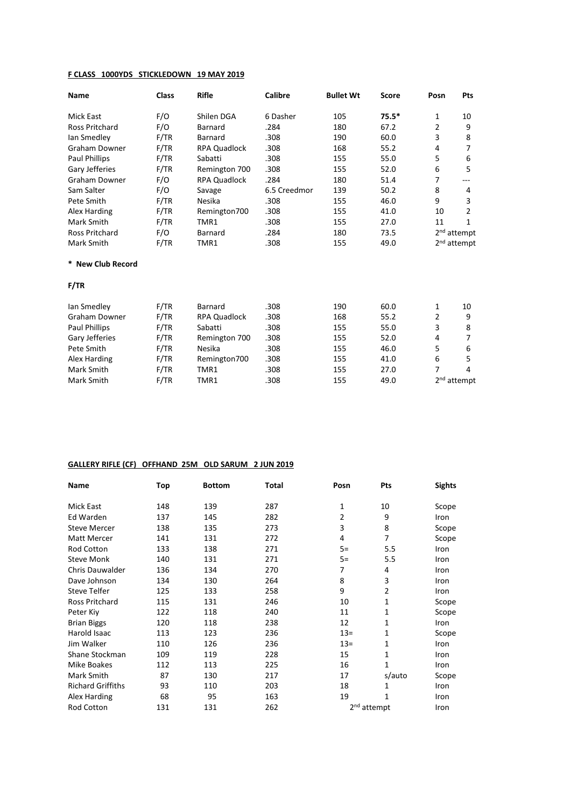# **F CLASS 1000YDS STICKLEDOWN 19 MAY 2019**

| Name                  | <b>Class</b> | <b>Rifle</b>        | <b>Calibre</b> | <b>Bullet Wt</b> | <b>Score</b> | Posn           | <b>Pts</b>              |
|-----------------------|--------------|---------------------|----------------|------------------|--------------|----------------|-------------------------|
| <b>Mick East</b>      | F/O          | Shilen DGA          | 6 Dasher       | 105              | $75.5*$      | 1              | 10                      |
| <b>Ross Pritchard</b> | F/O          | <b>Barnard</b>      | .284           | 180              | 67.2         | 2              | 9                       |
| lan Smedley           | F/TR         | <b>Barnard</b>      | .308           | 190              | 60.0         | 3              | 8                       |
| <b>Graham Downer</b>  | F/TR         | <b>RPA Quadlock</b> | .308           | 168              | 55.2         | $\overline{4}$ | 7                       |
| Paul Phillips         | F/TR         | Sabatti             | .308           | 155              | 55.0         | 5              | 6                       |
| Gary Jefferies        | F/TR         | Remington 700       | .308           | 155              | 52.0         | 6              | 5                       |
| <b>Graham Downer</b>  | F/O          | <b>RPA Quadlock</b> | .284           | 180              | 51.4         | 7              | ---                     |
| Sam Salter            | F/O          | Savage              | 6.5 Creedmor   | 139              | 50.2         | 8              | 4                       |
| Pete Smith            | F/TR         | Nesika              | .308           | 155              | 46.0         | 9              | 3                       |
| Alex Harding          | F/TR         | Remington700        | .308           | 155              | 41.0         | 10             | 2                       |
| Mark Smith            | F/TR         | TMR1                | .308           | 155              | 27.0         | 11             | $\mathbf{1}$            |
| Ross Pritchard        | F/O          | Barnard             | .284           | 180              | 73.5         |                | 2 <sup>nd</sup> attempt |
| Mark Smith            | F/TR         | TMR1                | .308           | 155              | 49.0         |                | 2 <sup>nd</sup> attempt |
| * New Club Record     |              |                     |                |                  |              |                |                         |
| F/TR                  |              |                     |                |                  |              |                |                         |
| lan Smedley           | F/TR         | <b>Barnard</b>      | .308           | 190              | 60.0         | 1              | 10                      |
| <b>Graham Downer</b>  | F/TR         | <b>RPA Quadlock</b> | .308           | 168              | 55.2         | 2              | 9                       |
| Paul Phillips         | F/TR         | Sabatti             | .308           | 155              | 55.0         | 3              | 8                       |
| Gary Jefferies        | F/TR         | Remington 700       | .308           | 155              | 52.0         | 4              | 7                       |
| Pete Smith            | F/TR         | Nesika              | .308           | 155              | 46.0         | 5              | 6                       |
| Alex Harding          | F/TR         | Remington700        | .308           | 155              | 41.0         | 6              | 5                       |
| Mark Smith            | F/TR         | TMR1                | .308           | 155              | 27.0         | 7              | 4                       |

Mark Smith F/TR TMR1 .308 155 49.0 2<sup>nd</sup> attempt

### **GALLERY RIFLE (CF) OFFHAND 25M OLD SARUM 2 JUN 2019**

| Name                     | Top | <b>Bottom</b> | Total | Posn  | Pts                     | <b>Sights</b> |
|--------------------------|-----|---------------|-------|-------|-------------------------|---------------|
| <b>Mick East</b>         | 148 | 139           | 287   | 1     | 10                      | Scope         |
| Ed Warden                | 137 | 145           | 282   | 2     | 9                       | Iron          |
| <b>Steve Mercer</b>      | 138 | 135           | 273   | 3     | 8                       | Scope         |
| <b>Matt Mercer</b>       | 141 | 131           | 272   | 4     | 7                       | Scope         |
| Rod Cotton               | 133 | 138           | 271   | $5=$  | 5.5                     | Iron          |
| <b>Steve Monk</b>        | 140 | 131           | 271   | $5=$  | 5.5                     | Iron          |
| <b>Chris Dauwalder</b>   | 136 | 134           | 270   | 7     | 4                       | Iron          |
| Dave Johnson             | 134 | 130           | 264   | 8     | 3                       | Iron          |
| <b>Steve Telfer</b>      | 125 | 133           | 258   | 9     | 2                       | Iron          |
| <b>Ross Pritchard</b>    | 115 | 131           | 246   | 10    | 1                       | Scope         |
| Peter Kiy                | 122 | 118           | 240   | 11    | 1                       | Scope         |
| <b>Brian Biggs</b>       | 120 | 118           | 238   | 12    | 1                       | Iron          |
| Harold Isaac             | 113 | 123           | 236   | $13=$ | 1                       | Scope         |
| Jim Walker               | 110 | 126           | 236   | $13=$ | 1                       | Iron          |
| Shane Stockman           | 109 | 119           | 228   | 15    | 1                       | Iron          |
| Mike Boakes              | 112 | 113           | 225   | 16    | $\mathbf{1}$            | Iron          |
| Mark Smith               | 87  | 130           | 217   | 17    | s/auto                  | Scope         |
| <b>Richard Griffiths</b> | 93  | 110           | 203   | 18    | 1                       | Iron          |
| Alex Harding             | 68  | 95            | 163   | 19    | 1                       | Iron          |
| Rod Cotton               | 131 | 131           | 262   |       | 2 <sup>nd</sup> attempt | Iron          |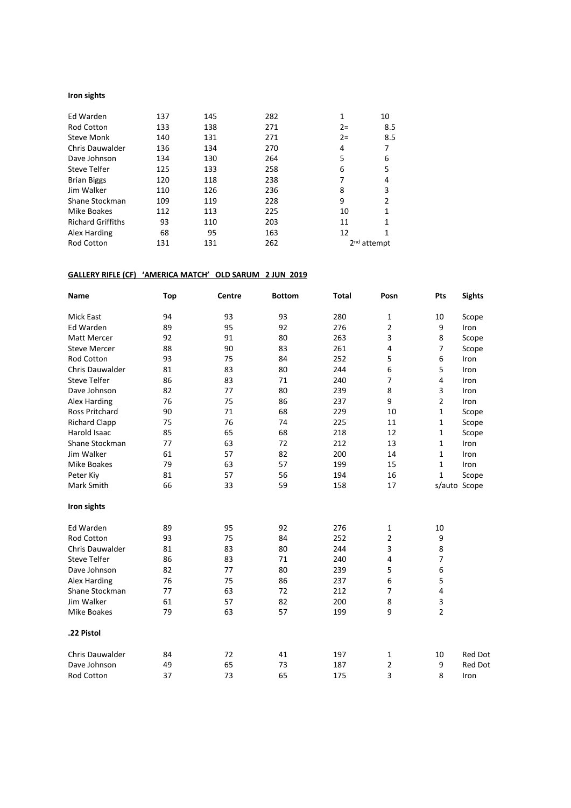### **Iron sights**

| Ed Warden                | 137 | 145 | 282 | 1     | 10                      |
|--------------------------|-----|-----|-----|-------|-------------------------|
| <b>Rod Cotton</b>        | 133 | 138 | 271 | $2 =$ |                         |
|                          |     |     |     |       | 8.5                     |
| <b>Steve Monk</b>        | 140 | 131 | 271 | $2 =$ | 8.5                     |
| Chris Dauwalder          | 136 | 134 | 270 | 4     |                         |
| Dave Johnson             | 134 | 130 | 264 | 5     | 6                       |
| Steve Telfer             | 125 | 133 | 258 | 6     | 5                       |
| <b>Brian Biggs</b>       | 120 | 118 | 238 |       | 4                       |
| Jim Walker               | 110 | 126 | 236 | 8     | 3                       |
| Shane Stockman           | 109 | 119 | 228 | 9     | $\mathcal{P}$           |
| Mike Boakes              | 112 | 113 | 225 | 10    |                         |
| <b>Richard Griffiths</b> | 93  | 110 | 203 | 11    |                         |
| Alex Harding             | 68  | 95  | 163 | 12    |                         |
| <b>Rod Cotton</b>        | 131 | 131 | 262 |       | 2 <sup>nd</sup> attempt |

### **GALLERY RIFLE (CF) 'AMERICA MATCH' OLD SARUM 2 JUN 2019**

| Name                  | <b>Top</b> | Centre | <b>Bottom</b> | <b>Total</b> | Posn           | Pts            | <b>Sights</b>  |
|-----------------------|------------|--------|---------------|--------------|----------------|----------------|----------------|
| Mick East             | 94         | 93     | 93            | 280          | $\mathbf{1}$   | 10             | Scope          |
| Ed Warden             | 89         | 95     | 92            | 276          | 2              | 9              | Iron           |
| Matt Mercer           | 92         | 91     | 80            | 263          | 3              | 8              | Scope          |
| <b>Steve Mercer</b>   | 88         | 90     | 83            | 261          | $\overline{4}$ | $\overline{7}$ | Scope          |
| <b>Rod Cotton</b>     | 93         | 75     | 84            | 252          | 5              | 6              | Iron           |
| Chris Dauwalder       | 81         | 83     | 80            | 244          | 6              | 5              | Iron           |
| <b>Steve Telfer</b>   | 86         | 83     | 71            | 240          | $\overline{7}$ | 4              | Iron           |
| Dave Johnson          | 82         | 77     | 80            | 239          | 8              | 3              | Iron           |
| Alex Harding          | 76         | 75     | 86            | 237          | 9              | $\overline{2}$ | Iron           |
| <b>Ross Pritchard</b> | 90         | 71     | 68            | 229          | 10             | 1              | Scope          |
| <b>Richard Clapp</b>  | 75         | 76     | 74            | 225          | 11             | 1              | Scope          |
| <b>Harold Isaac</b>   | 85         | 65     | 68            | 218          | 12             | 1              | Scope          |
| Shane Stockman        | 77         | 63     | 72            | 212          | 13             | 1              | Iron           |
| Jim Walker            | 61         | 57     | 82            | 200          | 14             | 1              | Iron           |
| <b>Mike Boakes</b>    | 79         | 63     | 57            | 199          | 15             | 1              | Iron           |
| Peter Kiy             | 81         | 57     | 56            | 194          | 16             | 1              | Scope          |
| <b>Mark Smith</b>     | 66         | 33     | 59            | 158          | 17             |                | s/auto Scope   |
| Iron sights           |            |        |               |              |                |                |                |
| Ed Warden             | 89         | 95     | 92            | 276          | 1              | 10             |                |
| <b>Rod Cotton</b>     | 93         | 75     | 84            | 252          | $\overline{2}$ | 9              |                |
| Chris Dauwalder       | 81         | 83     | 80            | 244          | 3              | 8              |                |
| <b>Steve Telfer</b>   | 86         | 83     | 71            | 240          | 4              | 7              |                |
| Dave Johnson          | 82         | 77     | 80            | 239          | 5              | 6              |                |
| Alex Harding          | 76         | 75     | 86            | 237          | 6              | 5              |                |
| Shane Stockman        | 77         | 63     | 72            | 212          | $\overline{7}$ | 4              |                |
| Jim Walker            | 61         | 57     | 82            | 200          | 8              | 3              |                |
| <b>Mike Boakes</b>    | 79         | 63     | 57            | 199          | 9              | $\overline{2}$ |                |
| .22 Pistol            |            |        |               |              |                |                |                |
| Chris Dauwalder       | 84         | 72     | 41            | 197          | 1              | 10             | <b>Red Dot</b> |
| Dave Johnson          | 49         | 65     | 73            | 187          | $\overline{2}$ | 9              | <b>Red Dot</b> |
| <b>Rod Cotton</b>     | 37         | 73     | 65            | 175          | 3              | 8              | Iron           |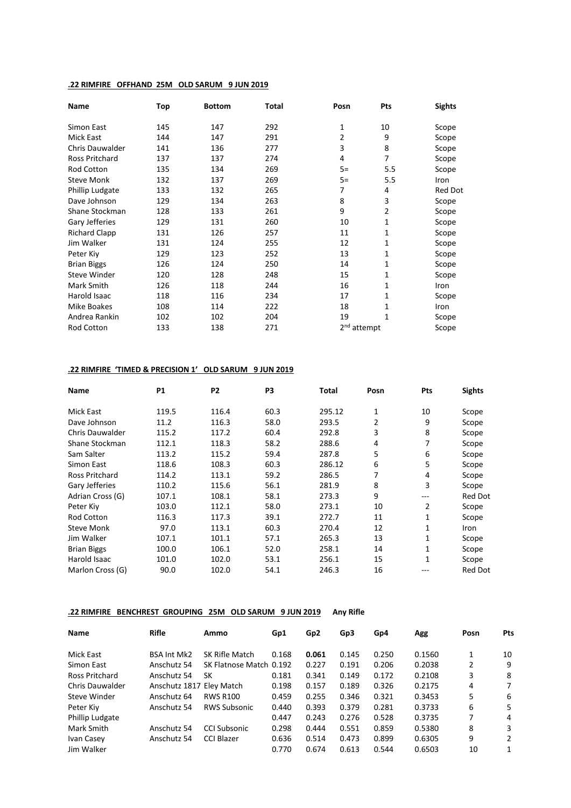### **.22 RIMFIRE OFFHAND 25M OLD SARUM 9 JUN 2019**

| Name                   | Top | <b>Bottom</b> | Total | Posn                    | Pts | <b>Sights</b>  |
|------------------------|-----|---------------|-------|-------------------------|-----|----------------|
| Simon East             | 145 | 147           | 292   | 1                       | 10  | Scope          |
| <b>Mick East</b>       | 144 | 147           | 291   | 2                       | 9   | Scope          |
| <b>Chris Dauwalder</b> | 141 | 136           | 277   | 3                       | 8   | Scope          |
| Ross Pritchard         | 137 | 137           | 274   | 4                       | 7   | Scope          |
| Rod Cotton             | 135 | 134           | 269   | $5=$                    | 5.5 | Scope          |
| <b>Steve Monk</b>      | 132 | 137           | 269   | $5=$                    | 5.5 | Iron           |
| Phillip Ludgate        | 133 | 132           | 265   | 7                       | 4   | <b>Red Dot</b> |
| Dave Johnson           | 129 | 134           | 263   | 8                       | 3   | Scope          |
| Shane Stockman         | 128 | 133           | 261   | 9                       | 2   | Scope          |
| Gary Jefferies         | 129 | 131           | 260   | 10                      | 1   | Scope          |
| <b>Richard Clapp</b>   | 131 | 126           | 257   | 11                      | 1   | Scope          |
| Jim Walker             | 131 | 124           | 255   | 12                      | 1   | Scope          |
| Peter Kiy              | 129 | 123           | 252   | 13                      | 1   | Scope          |
| <b>Brian Biggs</b>     | 126 | 124           | 250   | 14                      | 1   | Scope          |
| <b>Steve Winder</b>    | 120 | 128           | 248   | 15                      | 1   | Scope          |
| Mark Smith             | 126 | 118           | 244   | 16                      | 1   | Iron           |
| Harold Isaac           | 118 | 116           | 234   | 17                      | 1   | Scope          |
| <b>Mike Boakes</b>     | 108 | 114           | 222   | 18                      | 1   | Iron           |
| Andrea Rankin          | 102 | 102           | 204   | 19                      | 1   | Scope          |
| Rod Cotton             | 133 | 138           | 271   | 2 <sup>nd</sup> attempt |     | Scope          |

### **.22 RIMFIRE 'TIMED & PRECISION 1' OLD SARUM 9 JUN 2019**

| <b>Name</b>            | <b>P1</b> | P <sub>2</sub> | P <sub>3</sub> | Total  | Posn | Pts          | <b>Sights</b> |
|------------------------|-----------|----------------|----------------|--------|------|--------------|---------------|
| <b>Mick East</b>       | 119.5     | 116.4          | 60.3           | 295.12 | 1    | 10           | Scope         |
| Dave Johnson           | 11.2      | 116.3          | 58.0           | 293.5  | 2    | 9            | Scope         |
| <b>Chris Dauwalder</b> | 115.2     | 117.2          | 60.4           | 292.8  | 3    | 8            | Scope         |
| Shane Stockman         | 112.1     | 118.3          | 58.2           | 288.6  | 4    | 7            | Scope         |
| Sam Salter             | 113.2     | 115.2          | 59.4           | 287.8  | 5    | 6            | Scope         |
| Simon East             | 118.6     | 108.3          | 60.3           | 286.12 | 6    | 5            | Scope         |
| <b>Ross Pritchard</b>  | 114.2     | 113.1          | 59.2           | 286.5  | 7    | 4            | Scope         |
| Gary Jefferies         | 110.2     | 115.6          | 56.1           | 281.9  | 8    | 3            | Scope         |
| Adrian Cross (G)       | 107.1     | 108.1          | 58.1           | 273.3  | 9    | ---          | Red Dot       |
| Peter Kiy              | 103.0     | 112.1          | 58.0           | 273.1  | 10   | 2            | Scope         |
| <b>Rod Cotton</b>      | 116.3     | 117.3          | 39.1           | 272.7  | 11   | 1            | Scope         |
| <b>Steve Monk</b>      | 97.0      | 113.1          | 60.3           | 270.4  | 12   | 1            | <b>Iron</b>   |
| Jim Walker             | 107.1     | 101.1          | 57.1           | 265.3  | 13   | 1            | Scope         |
| <b>Brian Biggs</b>     | 100.0     | 106.1          | 52.0           | 258.1  | 14   | 1            | Scope         |
| Harold Isaac           | 101.0     | 102.0          | 53.1           | 256.1  | 15   | $\mathbf{1}$ | Scope         |
| Marlon Cross (G)       | 90.0      | 102.0          | 54.1           | 246.3  | 16   | ---          | Red Dot       |

### **.22 RIMFIRE BENCHREST GROUPING 25M OLD SARUM 9 JUN 2019 Any Rifle**

| Name                   | Rifle                    | Ammo                    | Gp1   | Gp <sub>2</sub> | Gp3   | Gp4   | Agg    | Posn | <b>Pts</b> |
|------------------------|--------------------------|-------------------------|-------|-----------------|-------|-------|--------|------|------------|
| Mick East              | <b>BSA Int Mk2</b>       | SK Rifle Match          | 0.168 | 0.061           | 0.145 | 0.250 | 0.1560 | 1    | 10         |
| Simon East             | Anschutz 54              | SK Flatnose Match 0.192 |       | 0.227           | 0.191 | 0.206 | 0.2038 | 2    | 9          |
| Ross Pritchard         | Anschutz 54              | SК                      | 0.181 | 0.341           | 0.149 | 0.172 | 0.2108 | 3    | 8          |
| <b>Chris Dauwalder</b> | Anschutz 1817 Eley Match |                         | 0.198 | 0.157           | 0.189 | 0.326 | 0.2175 | 4    | 7          |
| Steve Winder           | Anschutz 64              | <b>RWS R100</b>         | 0.459 | 0.255           | 0.346 | 0.321 | 0.3453 | 5    | 6          |
| Peter Kiy              | Anschutz 54              | <b>RWS Subsonic</b>     | 0.440 | 0.393           | 0.379 | 0.281 | 0.3733 | 6    | 5          |
| <b>Phillip Ludgate</b> |                          |                         | 0.447 | 0.243           | 0.276 | 0.528 | 0.3735 | 7    | 4          |
| Mark Smith             | Anschutz 54              | <b>CCI Subsonic</b>     | 0.298 | 0.444           | 0.551 | 0.859 | 0.5380 | 8    | 3          |
| Ivan Casey             | Anschutz 54              | <b>CCI Blazer</b>       | 0.636 | 0.514           | 0.473 | 0.899 | 0.6305 | 9    | 2          |
| Jim Walker             |                          |                         | 0.770 | 0.674           | 0.613 | 0.544 | 0.6503 | 10   | 1          |